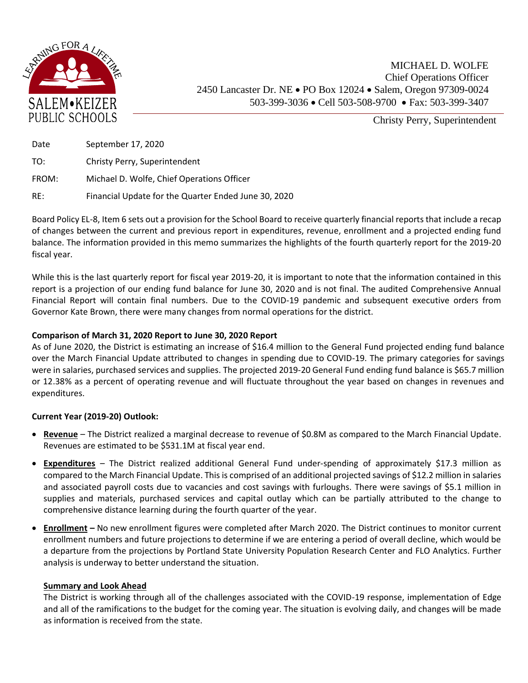

Christy Perry, Superintendent

| Date  | September 17, 2020                                   |
|-------|------------------------------------------------------|
| TO:   | Christy Perry, Superintendent                        |
| FROM: | Michael D. Wolfe, Chief Operations Officer           |
| RE:   | Financial Update for the Quarter Ended June 30, 2020 |

Board Policy EL-8, Item 6 sets out a provision for the School Board to receive quarterly financial reports that include a recap of changes between the current and previous report in expenditures, revenue, enrollment and a projected ending fund balance. The information provided in this memo summarizes the highlights of the fourth quarterly report for the 2019-20 fiscal year.

While this is the last quarterly report for fiscal year 2019‐20, it is important to note that the information contained in this report is a projection of our ending fund balance for June 30, 2020 and is not final. The audited Comprehensive Annual Financial Report will contain final numbers. Due to the COVID-19 pandemic and subsequent executive orders from Governor Kate Brown, there were many changes from normal operations for the district.

## **Comparison of March 31, 2020 Report to June 30, 2020 Report**

As of June 2020, the District is estimating an increase of \$16.4 million to the General Fund projected ending fund balance over the March Financial Update attributed to changes in spending due to COVID-19. The primary categories for savings were in salaries, purchased services and supplies. The projected 2019‐20 General Fund ending fund balance is \$65.7 million or 12.38% as a percent of operating revenue and will fluctuate throughout the year based on changes in revenues and expenditures.

## **Current Year (2019-20) Outlook:**

- **Revenue** The District realized a marginal decrease to revenue of \$0.8M as compared to the March Financial Update. Revenues are estimated to be \$531.1M at fiscal year end.
- **Expenditures** The District realized additional General Fund under-spending of approximately \$17.3 million as compared to the March Financial Update. This is comprised of an additional projected savings of \$12.2 million in salaries and associated payroll costs due to vacancies and cost savings with furloughs. There were savings of \$5.1 million in supplies and materials, purchased services and capital outlay which can be partially attributed to the change to comprehensive distance learning during the fourth quarter of the year.
- **Enrollment –** No new enrollment figures were completed after March 2020. The District continues to monitor current enrollment numbers and future projections to determine if we are entering a period of overall decline, which would be a departure from the projections by Portland State University Population Research Center and FLO Analytics. Further analysis is underway to better understand the situation.

## **Summary and Look Ahead**

The District is working through all of the challenges associated with the COVID-19 response, implementation of Edge and all of the ramifications to the budget for the coming year. The situation is evolving daily, and changes will be made as information is received from the state.